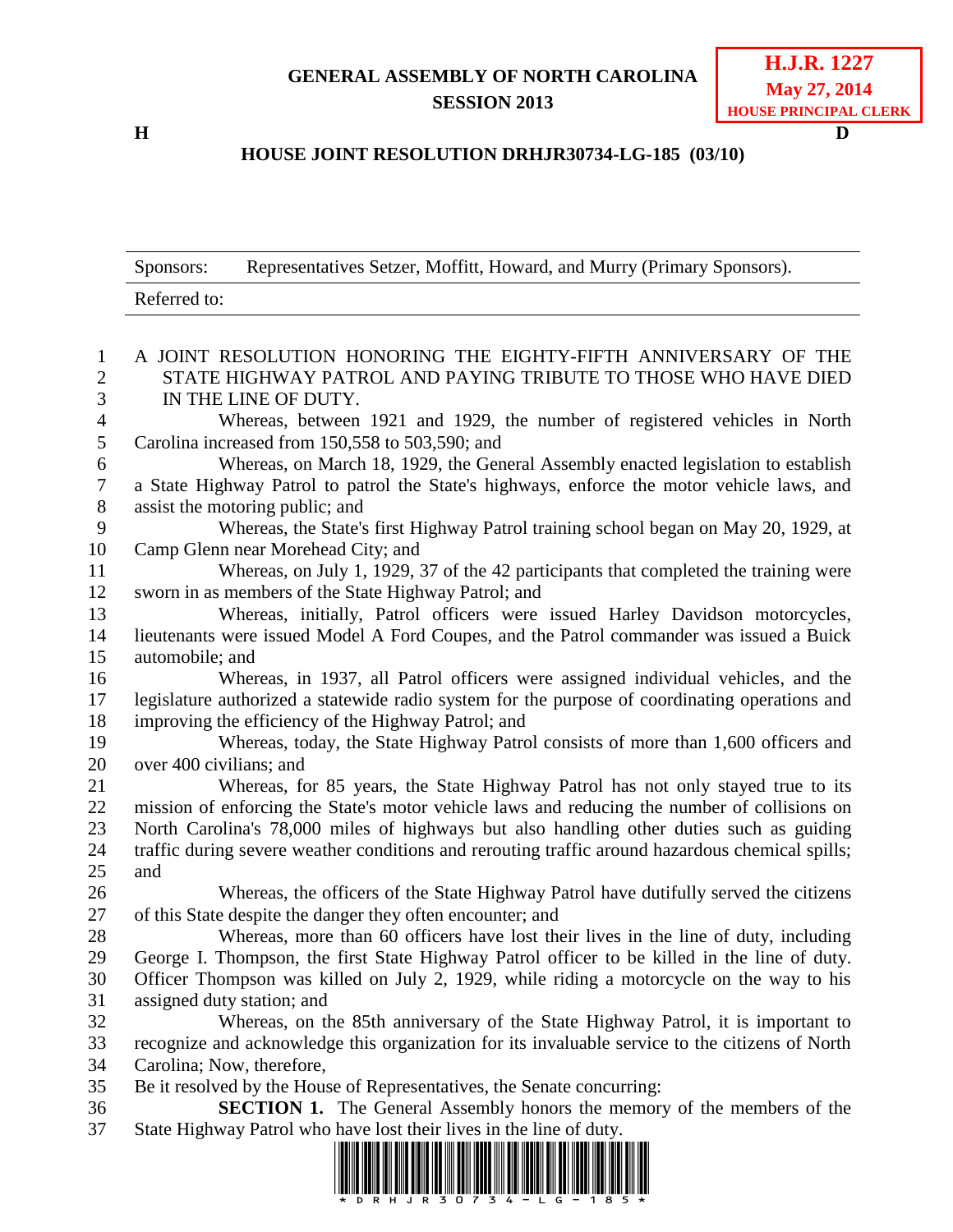## **GENERAL ASSEMBLY OF NORTH CAROLINA SESSION 2013**

**H D**

## **HOUSE JOINT RESOLUTION DRHJR30734-LG-185 (03/10)**

|                  | Representatives Setzer, Moffitt, Howard, and Murry (Primary Sponsors).<br>Sponsors:                                  |
|------------------|----------------------------------------------------------------------------------------------------------------------|
|                  |                                                                                                                      |
|                  | Referred to:                                                                                                         |
| 1                | A JOINT RESOLUTION HONORING THE EIGHTY-FIFTH ANNIVERSARY OF THE                                                      |
| $\overline{2}$   | STATE HIGHWAY PATROL AND PAYING TRIBUTE TO THOSE WHO HAVE DIED                                                       |
| 3                | IN THE LINE OF DUTY.                                                                                                 |
| $\overline{4}$   | Whereas, between 1921 and 1929, the number of registered vehicles in North                                           |
| 5                | Carolina increased from 150,558 to 503,590; and                                                                      |
| 6                | Whereas, on March 18, 1929, the General Assembly enacted legislation to establish                                    |
| $\boldsymbol{7}$ | a State Highway Patrol to patrol the State's highways, enforce the motor vehicle laws, and                           |
| $8\,$            | assist the motoring public; and                                                                                      |
| 9                | Whereas, the State's first Highway Patrol training school began on May 20, 1929, at                                  |
| 10               | Camp Glenn near Morehead City; and                                                                                   |
| 11               | Whereas, on July 1, 1929, 37 of the 42 participants that completed the training were                                 |
| 12               | sworn in as members of the State Highway Patrol; and                                                                 |
| 13               | Whereas, initially, Patrol officers were issued Harley Davidson motorcycles,                                         |
| 14               | lieutenants were issued Model A Ford Coupes, and the Patrol commander was issued a Buick                             |
| 15               | automobile; and                                                                                                      |
| 16               | Whereas, in 1937, all Patrol officers were assigned individual vehicles, and the                                     |
| 17               | legislature authorized a statewide radio system for the purpose of coordinating operations and                       |
| 18               | improving the efficiency of the Highway Patrol; and                                                                  |
| 19               | Whereas, today, the State Highway Patrol consists of more than 1,600 officers and                                    |
| 20               | over 400 civilians; and                                                                                              |
| 21               | Whereas, for 85 years, the State Highway Patrol has not only stayed true to its                                      |
| 22               | mission of enforcing the State's motor vehicle laws and reducing the number of collisions on                         |
| 23               | North Carolina's 78,000 miles of highways but also handling other duties such as guiding                             |
| 24               | traffic during severe weather conditions and rerouting traffic around hazardous chemical spills;                     |
| 25               | and                                                                                                                  |
| 26               | Whereas, the officers of the State Highway Patrol have dutifully served the citizens                                 |
| 27               | of this State despite the danger they often encounter; and                                                           |
| 28               | Whereas, more than 60 officers have lost their lives in the line of duty, including                                  |
| 29               | George I. Thompson, the first State Highway Patrol officer to be killed in the line of duty.                         |
| 30               | Officer Thompson was killed on July 2, 1929, while riding a motorcycle on the way to his                             |
| 31               | assigned duty station; and                                                                                           |
| 32               | Whereas, on the 85th anniversary of the State Highway Patrol, it is important to                                     |
| 33               | recognize and acknowledge this organization for its invaluable service to the citizens of North                      |
| 34               | Carolina; Now, therefore,                                                                                            |
| 35               | Be it resolved by the House of Representatives, the Senate concurring:                                               |
| 36               | <b>SECTION 1.</b> The General Assembly honors the memory of the members of the                                       |
| 37               | State Highway Patrol who have lost their lives in the line of duty.                                                  |
|                  | <u> 1999 - 1999 - 1999 - 1999 - 1999 - 1999 - 1999 - 1999 - 1999 - 1999 - 1999 - 1999 - 1999 - 1999 - 1999 - 199</u> |

\*DRHJR30734-LG-185\*